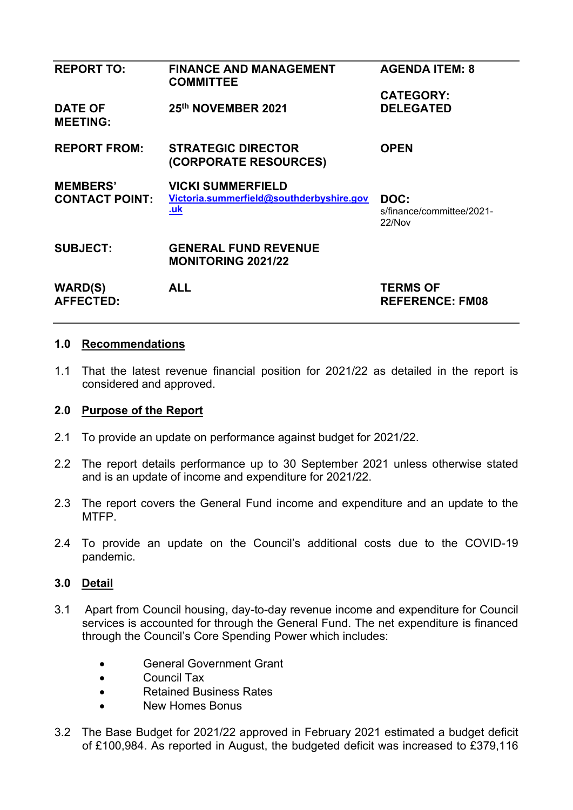| <b>REPORT TO:</b>                        | <b>FINANCE AND MANAGEMENT</b><br><b>COMMITTEE</b>                                  | <b>AGENDA ITEM: 8</b>                       |
|------------------------------------------|------------------------------------------------------------------------------------|---------------------------------------------|
|                                          |                                                                                    | <b>CATEGORY:</b>                            |
| <b>DATE OF</b><br><b>MEETING:</b>        | 25th NOVEMBER 2021                                                                 | <b>DELEGATED</b>                            |
| <b>REPORT FROM:</b>                      | <b>STRATEGIC DIRECTOR</b><br>(CORPORATE RESOURCES)                                 | <b>OPEN</b>                                 |
| <b>MEMBERS'</b><br><b>CONTACT POINT:</b> | <b>VICKI SUMMERFIELD</b><br>Victoria.summerfield@southderbyshire.gov<br><u>.uk</u> | DOC:<br>s/finance/committee/2021-<br>22/Nov |
| <b>SUBJECT:</b>                          | <b>GENERAL FUND REVENUE</b><br><b>MONITORING 2021/22</b>                           |                                             |
| <b>WARD(S)</b><br><b>AFFECTED:</b>       | <b>ALL</b>                                                                         | <b>TERMS OF</b><br><b>REFERENCE: FM08</b>   |
|                                          |                                                                                    |                                             |

### **1.0 Recommendations**

1.1 That the latest revenue financial position for 2021/22 as detailed in the report is considered and approved.

### **2.0 Purpose of the Report**

- 2.1 To provide an update on performance against budget for 2021/22.
- 2.2 The report details performance up to 30 September 2021 unless otherwise stated and is an update of income and expenditure for 2021/22.
- 2.3 The report covers the General Fund income and expenditure and an update to the MTFP.
- 2.4 To provide an update on the Council's additional costs due to the COVID-19 pandemic.

# **3.0 Detail**

- 3.1 Apart from Council housing, day-to-day revenue income and expenditure for Council services is accounted for through the General Fund. The net expenditure is financed through the Council's Core Spending Power which includes:
	- General Government Grant
	- Council Tax
	- Retained Business Rates
	- New Homes Bonus
- 3.2 The Base Budget for 2021/22 approved in February 2021 estimated a budget deficit of £100,984. As reported in August, the budgeted deficit was increased to £379,116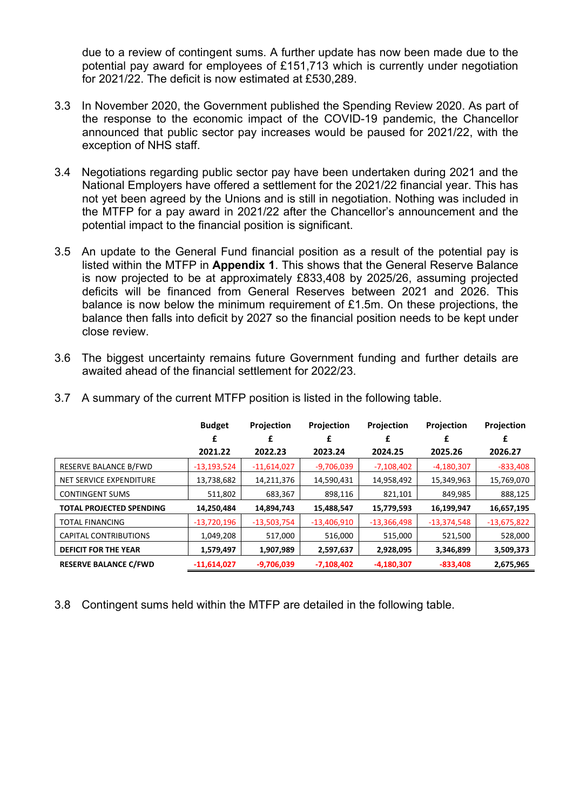due to a review of contingent sums. A further update has now been made due to the potential pay award for employees of £151,713 which is currently under negotiation for 2021/22. The deficit is now estimated at £530,289.

- 3.3 In November 2020, the Government published the Spending Review 2020. As part of the response to the economic impact of the COVID-19 pandemic, the Chancellor announced that public sector pay increases would be paused for 2021/22, with the exception of NHS staff.
- 3.4 Negotiations regarding public sector pay have been undertaken during 2021 and the National Employers have offered a settlement for the 2021/22 financial year. This has not yet been agreed by the Unions and is still in negotiation. Nothing was included in the MTFP for a pay award in 2021/22 after the Chancellor's announcement and the potential impact to the financial position is significant.
- 3.5 An update to the General Fund financial position as a result of the potential pay is listed within the MTFP in **Appendix 1**. This shows that the General Reserve Balance is now projected to be at approximately £833,408 by 2025/26, assuming projected deficits will be financed from General Reserves between 2021 and 2026. This balance is now below the minimum requirement of £1.5m. On these projections, the balance then falls into deficit by 2027 so the financial position needs to be kept under close review.
- 3.6 The biggest uncertainty remains future Government funding and further details are awaited ahead of the financial settlement for 2022/23.

|                                 | <b>Budget</b><br>£ | <b>Projection</b><br>£ | <b>Projection</b><br>£ | <b>Projection</b><br>£ | <b>Projection</b> | <b>Projection</b><br>£ |
|---------------------------------|--------------------|------------------------|------------------------|------------------------|-------------------|------------------------|
|                                 | 2021.22            | 2022.23                | 2023.24                | 2024.25                | 2025.26           | 2026.27                |
| RESERVE BALANCE B/FWD           | $-13,193,524$      | $-11,614,027$          | $-9,706,039$           | $-7,108,402$           | $-4,180,307$      | $-833,408$             |
| NET SERVICE EXPENDITURE         | 13,738,682         | 14,211,376             | 14,590,431             | 14,958,492             | 15,349,963        | 15,769,070             |
| <b>CONTINGENT SUMS</b>          | 511,802            | 683,367                | 898,116                | 821,101                | 849,985           | 888,125                |
| <b>TOTAL PROJECTED SPENDING</b> | 14,250,484         | 14,894,743             | 15,488,547             | 15,779,593             | 16,199,947        | 16,657,195             |
| <b>TOTAL FINANCING</b>          | $-13,720,196$      | $-13,503,754$          | $-13,406,910$          | $-13,366,498$          | $-13,374,548$     | $-13,675,822$          |
| <b>CAPITAL CONTRIBUTIONS</b>    | 1,049,208          | 517,000                | 516,000                | 515,000                | 521,500           | 528,000                |
| <b>DEFICIT FOR THE YEAR</b>     | 1,579,497          | 1,907,989              | 2,597,637              | 2,928,095              | 3,346,899         | 3,509,373              |
| <b>RESERVE BALANCE C/FWD</b>    | $-11,614,027$      | $-9,706,039$           | $-7,108,402$           | $-4,180,307$           | $-833,408$        | 2,675,965              |

3.7 A summary of the current MTFP position is listed in the following table.

3.8 Contingent sums held within the MTFP are detailed in the following table.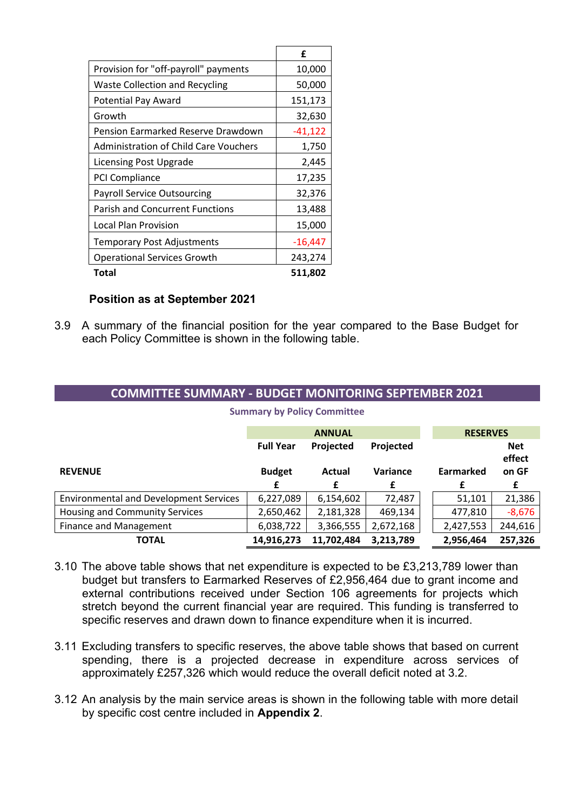|                                              | £         |
|----------------------------------------------|-----------|
| Provision for "off-payroll" payments         | 10,000    |
| <b>Waste Collection and Recycling</b>        | 50,000    |
| Potential Pay Award                          | 151,173   |
| Growth                                       | 32,630    |
| Pension Earmarked Reserve Drawdown           | $-41,122$ |
| <b>Administration of Child Care Vouchers</b> | 1,750     |
| Licensing Post Upgrade                       | 2,445     |
| PCI Compliance                               | 17,235    |
| <b>Payroll Service Outsourcing</b>           | 32,376    |
| <b>Parish and Concurrent Functions</b>       | 13,488    |
| Local Plan Provision                         | 15,000    |
| Temporary Post Adjustments                   | $-16,447$ |
| <b>Operational Services Growth</b>           | 243,274   |
| Total                                        | 511,802   |

### **Position as at September 2021**

3.9 A summary of the financial position for the year compared to the Base Budget for each Policy Committee is shown in the following table.

### **COMMITTEE SUMMARY - BUDGET MONITORING SEPTEMBER 2021**

|                                               |                  | <b>ANNUAL</b> | <b>RESERVES</b> |           |                      |
|-----------------------------------------------|------------------|---------------|-----------------|-----------|----------------------|
|                                               | <b>Full Year</b> | Projected     | Projected       |           | <b>Net</b><br>effect |
| <b>REVENUE</b>                                | <b>Budget</b>    | Actual        | Variance        | Earmarked | on GF                |
|                                               | £                | £             | £               | £         | £                    |
| <b>Environmental and Development Services</b> | 6,227,089        | 6,154,602     | 72,487          | 51,101    | 21,386               |
| Housing and Community Services                | 2,650,462        | 2,181,328     | 469,134         | 477,810   | $-8,676$             |
| Finance and Management                        | 6,038,722        | 3,366,555     | 2,672,168       | 2,427,553 | 244,616              |
| <b>TOTAL</b>                                  | 14,916,273       | 11,702,484    | 3,213,789       | 2,956,464 | 257,326              |

**Summary by Policy Committee** 

- 3.10 The above table shows that net expenditure is expected to be £3,213,789 lower than budget but transfers to Earmarked Reserves of £2,956,464 due to grant income and external contributions received under Section 106 agreements for projects which stretch beyond the current financial year are required. This funding is transferred to specific reserves and drawn down to finance expenditure when it is incurred.
- 3.11 Excluding transfers to specific reserves, the above table shows that based on current spending, there is a projected decrease in expenditure across services of approximately £257,326 which would reduce the overall deficit noted at 3.2.
- 3.12 An analysis by the main service areas is shown in the following table with more detail by specific cost centre included in **Appendix 2**.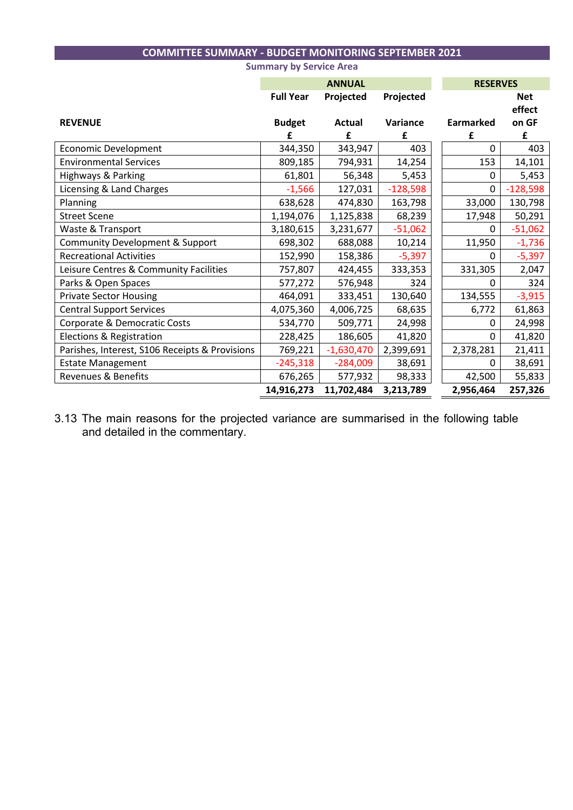# **COMMITTEE SUMMARY - BUDGET MONITORING SEPTEMBER 2021**

|                                                |                  | <b>ANNUAL</b> | <b>RESERVES</b> |           |                      |
|------------------------------------------------|------------------|---------------|-----------------|-----------|----------------------|
|                                                | <b>Full Year</b> | Projected     | Projected       |           | <b>Net</b><br>effect |
| <b>REVENUE</b>                                 | <b>Budget</b>    | Actual        | Variance        | Earmarked | on GF                |
|                                                |                  | £             | £               | £         | £                    |
| Economic Development                           | 344,350          | 343,947       | 403             | 0         | 403                  |
| <b>Environmental Services</b>                  | 809,185          | 794,931       | 14,254          | 153       | 14,101               |
| Highways & Parking                             | 61,801           | 56,348        | 5,453           | 0         | 5,453                |
| Licensing & Land Charges                       | $-1,566$         | 127,031       | $-128,598$      | 0         | $-128,598$           |
| Planning                                       | 638,628          | 474,830       | 163,798         | 33,000    | 130,798              |
| <b>Street Scene</b>                            | 1,194,076        | 1,125,838     | 68,239          | 17,948    | 50,291               |
| Waste & Transport                              | 3,180,615        | 3,231,677     | $-51,062$       | 0         | $-51,062$            |
| <b>Community Development &amp; Support</b>     | 698,302          | 688,088       | 10,214          | 11,950    | $-1,736$             |
| <b>Recreational Activities</b>                 | 152,990          | 158,386       | $-5,397$        | 0         | $-5,397$             |
| Leisure Centres & Community Facilities         | 757,807          | 424,455       | 333,353         | 331,305   | 2,047                |
| Parks & Open Spaces                            | 577,272          | 576,948       | 324             | 0         | 324                  |
| <b>Private Sector Housing</b>                  | 464,091          | 333,451       | 130,640         | 134,555   | $-3,915$             |
| <b>Central Support Services</b>                | 4,075,360        | 4,006,725     | 68,635          | 6,772     | 61,863               |
| Corporate & Democratic Costs                   | 534,770          | 509,771       | 24,998          | 0         | 24,998               |
| Elections & Registration                       | 228,425          | 186,605       | 41,820          | $\Omega$  | 41,820               |
| Parishes, Interest, S106 Receipts & Provisions | 769,221          | $-1,630,470$  | 2,399,691       | 2,378,281 | 21,411               |
| <b>Estate Management</b>                       | $-245,318$       | $-284,009$    | 38,691          | $\Omega$  | 38,691               |
| Revenues & Benefits                            | 676,265          | 577,932       | 98,333          | 42,500    | 55,833               |
|                                                | 14,916,273       | 11,702,484    | 3,213,789       | 2,956,464 | 257,326              |

**Summary by Service Area** 

3.13 The main reasons for the projected variance are summarised in the following table and detailed in the commentary.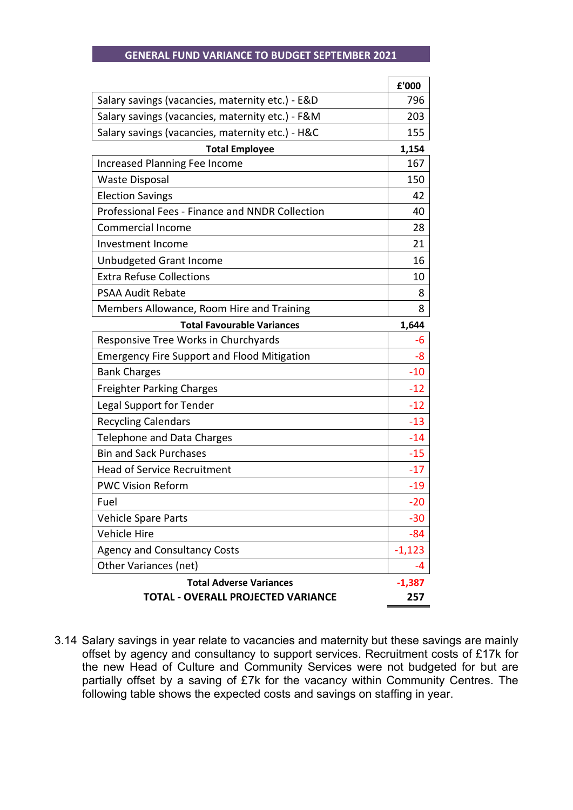#### **GENERAL FUND VARIANCE TO BUDGET SEPTEMBER 2021**

|                                                    | £'000    |
|----------------------------------------------------|----------|
| Salary savings (vacancies, maternity etc.) - E&D   | 796      |
| Salary savings (vacancies, maternity etc.) - F&M   | 203      |
| Salary savings (vacancies, maternity etc.) - H&C   | 155      |
| <b>Total Employee</b>                              | 1,154    |
| <b>Increased Planning Fee Income</b>               | 167      |
| <b>Waste Disposal</b>                              | 150      |
| <b>Election Savings</b>                            | 42       |
| Professional Fees - Finance and NNDR Collection    | 40       |
| <b>Commercial Income</b>                           | 28       |
| Investment Income                                  | 21       |
| Unbudgeted Grant Income                            | 16       |
| <b>Extra Refuse Collections</b>                    | 10       |
| <b>PSAA Audit Rebate</b>                           | 8        |
| Members Allowance, Room Hire and Training          | 8        |
| <b>Total Favourable Variances</b>                  | 1,644    |
| Responsive Tree Works in Churchyards               | -6       |
| <b>Emergency Fire Support and Flood Mitigation</b> | -8       |
| <b>Bank Charges</b>                                | $-10$    |
| <b>Freighter Parking Charges</b>                   | $-12$    |
| Legal Support for Tender                           | $-12$    |
| <b>Recycling Calendars</b>                         | $-13$    |
| Telephone and Data Charges                         | $-14$    |
| <b>Bin and Sack Purchases</b>                      | $-15$    |
| <b>Head of Service Recruitment</b>                 | $-17$    |
| <b>PWC Vision Reform</b>                           | -19      |
| Fuel                                               | $-20$    |
| <b>Vehicle Spare Parts</b>                         | $-30$    |
| <b>Vehicle Hire</b>                                | $-84$    |
| <b>Agency and Consultancy Costs</b>                | $-1,123$ |
| Other Variances (net)                              | -4       |
| <b>Total Adverse Variances</b>                     | $-1,387$ |
| TOTAL - OVERALL PROJECTED VARIANCE                 | 257      |

3.14 Salary savings in year relate to vacancies and maternity but these savings are mainly offset by agency and consultancy to support services. Recruitment costs of £17k for the new Head of Culture and Community Services were not budgeted for but are partially offset by a saving of £7k for the vacancy within Community Centres. The following table shows the expected costs and savings on staffing in year.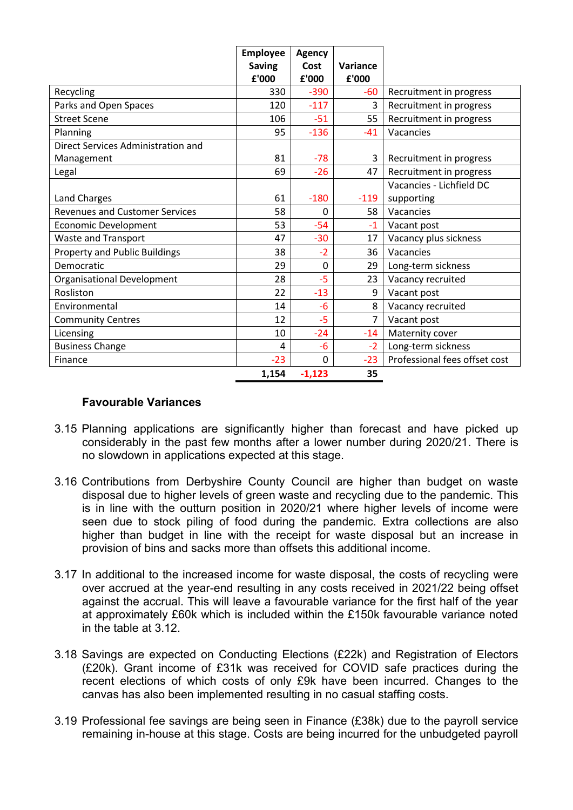|                                       | <b>Employee</b><br><b>Saving</b><br>£'000 | <b>Agency</b><br>Cost<br>£'000 | Variance<br>£'000 |                               |
|---------------------------------------|-------------------------------------------|--------------------------------|-------------------|-------------------------------|
| Recycling                             | 330                                       | $-390$                         | $-60$             | Recruitment in progress       |
| Parks and Open Spaces                 | 120                                       | $-117$                         | 3                 | Recruitment in progress       |
| <b>Street Scene</b>                   | 106                                       | $-51$                          | 55                | Recruitment in progress       |
| Planning                              | 95                                        | $-136$                         | $-41$             | Vacancies                     |
| Direct Services Administration and    |                                           |                                |                   |                               |
| Management                            | 81                                        | $-78$                          | 3                 | Recruitment in progress       |
| Legal                                 | 69                                        | $-26$                          | 47                | Recruitment in progress       |
|                                       |                                           |                                |                   | Vacancies - Lichfield DC      |
| Land Charges                          | 61                                        | $-180$                         | $-119$            | supporting                    |
| <b>Revenues and Customer Services</b> | 58                                        | 0                              | 58                | Vacancies                     |
| <b>Economic Development</b>           | 53                                        | $-54$                          | $-1$              | Vacant post                   |
| Waste and Transport                   | 47                                        | $-30$                          | 17                | Vacancy plus sickness         |
| <b>Property and Public Buildings</b>  | 38                                        | $-2$                           | 36                | Vacancies                     |
| Democratic                            | 29                                        | 0                              | 29                | Long-term sickness            |
| Organisational Development            | 28                                        | $-5$                           | 23                | Vacancy recruited             |
| Rosliston                             | 22                                        | $-13$                          | 9                 | Vacant post                   |
| Environmental                         | 14                                        | $-6$                           | 8                 | Vacancy recruited             |
| <b>Community Centres</b>              | 12                                        | -5                             | 7                 | Vacant post                   |
| Licensing                             | 10                                        | $-24$                          | $-14$             | Maternity cover               |
| <b>Business Change</b>                | 4                                         | -6                             | $-2$              | Long-term sickness            |
| Finance                               | $-23$                                     | 0                              | $-23$             | Professional fees offset cost |
|                                       | 1,154                                     | $-1,123$                       | 35                |                               |

### **Favourable Variances**

- 3.15 Planning applications are significantly higher than forecast and have picked up considerably in the past few months after a lower number during 2020/21. There is no slowdown in applications expected at this stage.
- 3.16 Contributions from Derbyshire County Council are higher than budget on waste disposal due to higher levels of green waste and recycling due to the pandemic. This is in line with the outturn position in 2020/21 where higher levels of income were seen due to stock piling of food during the pandemic. Extra collections are also higher than budget in line with the receipt for waste disposal but an increase in provision of bins and sacks more than offsets this additional income.
- 3.17 In additional to the increased income for waste disposal, the costs of recycling were over accrued at the year-end resulting in any costs received in 2021/22 being offset against the accrual. This will leave a favourable variance for the first half of the year at approximately £60k which is included within the £150k favourable variance noted in the table at 3.12.
- 3.18 Savings are expected on Conducting Elections (£22k) and Registration of Electors (£20k). Grant income of £31k was received for COVID safe practices during the recent elections of which costs of only £9k have been incurred. Changes to the canvas has also been implemented resulting in no casual staffing costs.
- 3.19 Professional fee savings are being seen in Finance (£38k) due to the payroll service remaining in-house at this stage. Costs are being incurred for the unbudgeted payroll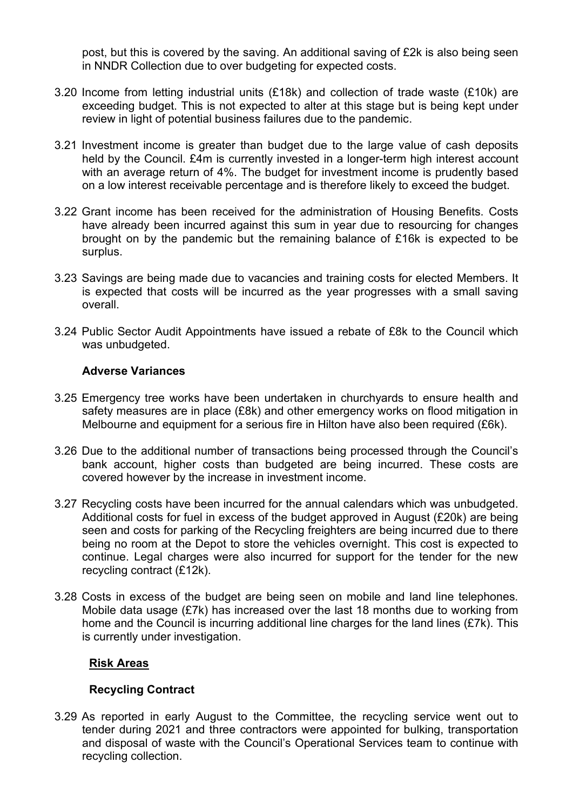post, but this is covered by the saving. An additional saving of £2k is also being seen in NNDR Collection due to over budgeting for expected costs.

- 3.20 Income from letting industrial units (£18k) and collection of trade waste (£10k) are exceeding budget. This is not expected to alter at this stage but is being kept under review in light of potential business failures due to the pandemic.
- 3.21 Investment income is greater than budget due to the large value of cash deposits held by the Council. £4m is currently invested in a longer-term high interest account with an average return of 4%. The budget for investment income is prudently based on a low interest receivable percentage and is therefore likely to exceed the budget.
- 3.22 Grant income has been received for the administration of Housing Benefits. Costs have already been incurred against this sum in year due to resourcing for changes brought on by the pandemic but the remaining balance of £16k is expected to be surplus.
- 3.23 Savings are being made due to vacancies and training costs for elected Members. It is expected that costs will be incurred as the year progresses with a small saving overall.
- 3.24 Public Sector Audit Appointments have issued a rebate of £8k to the Council which was unbudgeted.

### **Adverse Variances**

- 3.25 Emergency tree works have been undertaken in churchyards to ensure health and safety measures are in place (£8k) and other emergency works on flood mitigation in Melbourne and equipment for a serious fire in Hilton have also been required (£6k).
- 3.26 Due to the additional number of transactions being processed through the Council's bank account, higher costs than budgeted are being incurred. These costs are covered however by the increase in investment income.
- 3.27 Recycling costs have been incurred for the annual calendars which was unbudgeted. Additional costs for fuel in excess of the budget approved in August (£20k) are being seen and costs for parking of the Recycling freighters are being incurred due to there being no room at the Depot to store the vehicles overnight. This cost is expected to continue. Legal charges were also incurred for support for the tender for the new recycling contract (£12k).
- 3.28 Costs in excess of the budget are being seen on mobile and land line telephones. Mobile data usage (£7k) has increased over the last 18 months due to working from home and the Council is incurring additional line charges for the land lines (£7k). This is currently under investigation.

### **Risk Areas**

### **Recycling Contract**

3.29 As reported in early August to the Committee, the recycling service went out to tender during 2021 and three contractors were appointed for bulking, transportation and disposal of waste with the Council's Operational Services team to continue with recycling collection.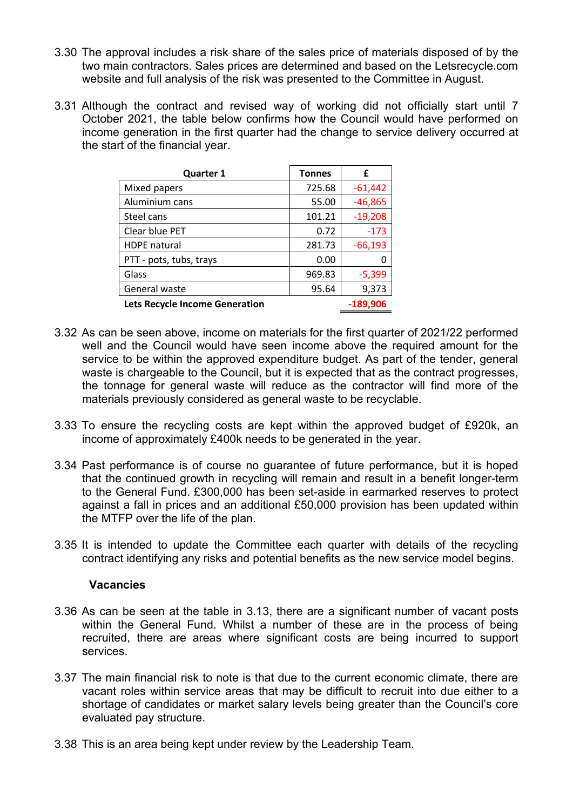- 3.30 The approval includes a risk share of the sales price of materials disposed of by the two main contractors. Sales prices are determined and based on the Letsrecycle.com website and full analysis of the risk was presented to the Committee in August.
- 3.31 Although the contract and revised way of working did not officially start until 7 October 2021, the table below confirms how the Council would have performed on income generation in the first quarter had the change to service delivery occurred at the start of the financial year.

| <b>Quarter 1</b>               | <b>Tonnes</b> | £         |
|--------------------------------|---------------|-----------|
| Mixed papers                   | 725.68        | $-61,442$ |
| Aluminium cans                 | 55.00         | $-46,865$ |
| Steel cans                     | 101.21        | $-19,208$ |
| Clear blue PET                 | 0.72          | $-173$    |
| <b>HDPE</b> natural            | 281.73        | $-66,193$ |
| PTT - pots, tubs, trays        | 0.00          |           |
| Glass                          | 969.83        | $-5,399$  |
| General waste                  | 95.64         | 9,373     |
| Lets Recycle Income Generation |               | -189.906  |

- 3.32 As can be seen above, income on materials for the first quarter of 2021/22 performed well and the Council would have seen income above the required amount for the service to be within the approved expenditure budget. As part of the tender, general waste is chargeable to the Council, but it is expected that as the contract progresses, the tonnage for general waste will reduce as the contractor will find more of the materials previously considered as general waste to be recyclable.
- 3.33 To ensure the recycling costs are kept within the approved budget of £920k, an income of approximately £400k needs to be generated in the year.
- 3.34 Past performance is of course no guarantee of future performance, but it is hoped that the continued growth in recycling will remain and result in a benefit longer-term to the General Fund. £300,000 has been set-aside in earmarked reserves to protect against a fall in prices and an additional £50,000 provision has been updated within the MTFP over the life of the plan.
- 3.35 It is intended to update the Committee each quarter with details of the recycling contract identifying any risks and potential benefits as the new service model begins.

### **Vacancies**

- 3.36 As can be seen at the table in 3.13, there are a significant number of vacant posts within the General Fund. Whilst a number of these are in the process of being recruited, there are areas where significant costs are being incurred to support services.
- 3.37 The main financial risk to note is that due to the current economic climate, there are vacant roles within service areas that may be difficult to recruit into due either to a shortage of candidates or market salary levels being greater than the Council's core evaluated pay structure.
- 3.38 This is an area being kept under review by the Leadership Team.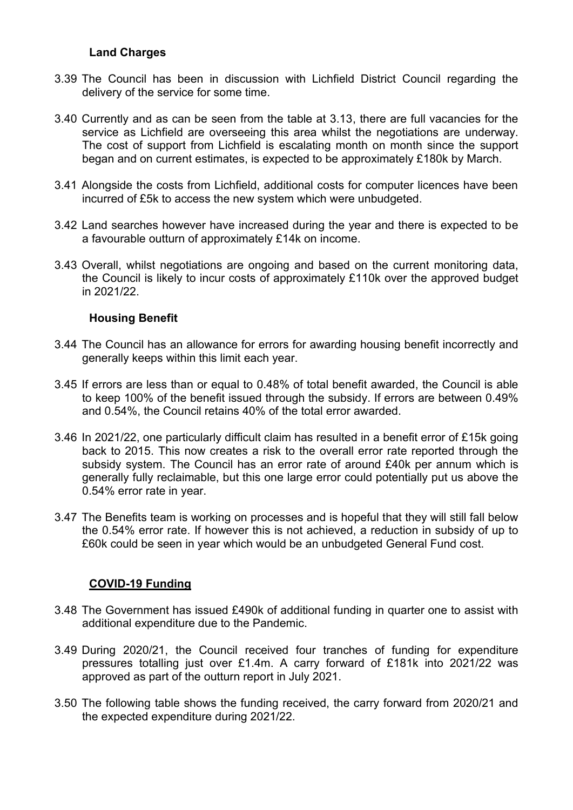### **Land Charges**

- 3.39 The Council has been in discussion with Lichfield District Council regarding the delivery of the service for some time.
- 3.40 Currently and as can be seen from the table at 3.13, there are full vacancies for the service as Lichfield are overseeing this area whilst the negotiations are underway. The cost of support from Lichfield is escalating month on month since the support began and on current estimates, is expected to be approximately £180k by March.
- 3.41 Alongside the costs from Lichfield, additional costs for computer licences have been incurred of £5k to access the new system which were unbudgeted.
- 3.42 Land searches however have increased during the year and there is expected to be a favourable outturn of approximately £14k on income.
- 3.43 Overall, whilst negotiations are ongoing and based on the current monitoring data, the Council is likely to incur costs of approximately £110k over the approved budget in 2021/22.

## **Housing Benefit**

- 3.44 The Council has an allowance for errors for awarding housing benefit incorrectly and generally keeps within this limit each year.
- 3.45 If errors are less than or equal to 0.48% of total benefit awarded, the Council is able to keep 100% of the benefit issued through the subsidy. If errors are between 0.49% and 0.54%, the Council retains 40% of the total error awarded.
- 3.46 In 2021/22, one particularly difficult claim has resulted in a benefit error of £15k going back to 2015. This now creates a risk to the overall error rate reported through the subsidy system. The Council has an error rate of around £40k per annum which is generally fully reclaimable, but this one large error could potentially put us above the 0.54% error rate in year.
- 3.47 The Benefits team is working on processes and is hopeful that they will still fall below the 0.54% error rate. If however this is not achieved, a reduction in subsidy of up to £60k could be seen in year which would be an unbudgeted General Fund cost.

# **COVID-19 Funding**

- 3.48 The Government has issued £490k of additional funding in quarter one to assist with additional expenditure due to the Pandemic.
- 3.49 During 2020/21, the Council received four tranches of funding for expenditure pressures totalling just over £1.4m. A carry forward of £181k into 2021/22 was approved as part of the outturn report in July 2021.
- 3.50 The following table shows the funding received, the carry forward from 2020/21 and the expected expenditure during 2021/22.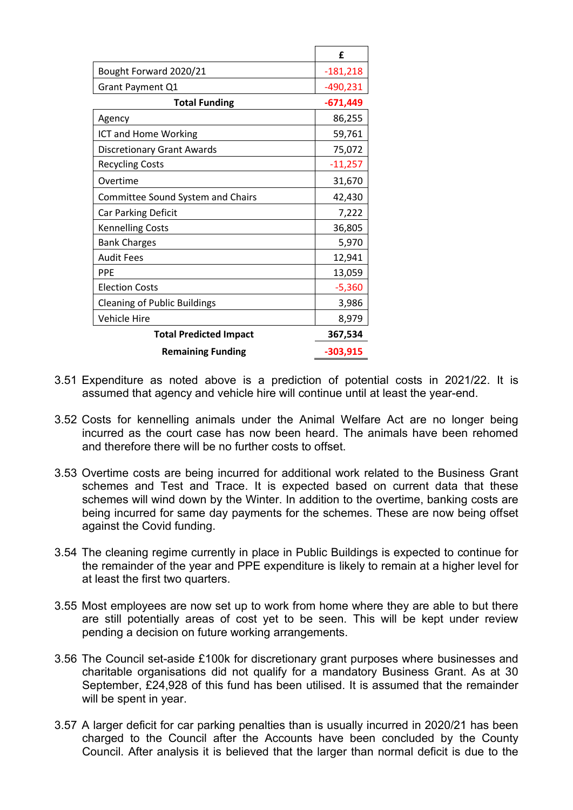|                                     | £          |
|-------------------------------------|------------|
| Bought Forward 2020/21              | $-181,218$ |
| Grant Payment Q1                    | -490,231   |
| <b>Total Funding</b>                | $-671,449$ |
| Agency                              | 86,255     |
| ICT and Home Working                | 59,761     |
| <b>Discretionary Grant Awards</b>   | 75,072     |
| <b>Recycling Costs</b>              | $-11,257$  |
| Overtime                            | 31,670     |
| Committee Sound System and Chairs   | 42,430     |
| Car Parking Deficit                 | 7,222      |
| <b>Kennelling Costs</b>             | 36,805     |
| <b>Bank Charges</b>                 | 5,970      |
| <b>Audit Fees</b>                   | 12,941     |
| <b>PPE</b>                          | 13,059     |
| <b>Election Costs</b>               | $-5,360$   |
| <b>Cleaning of Public Buildings</b> | 3,986      |
| <b>Vehicle Hire</b>                 | 8,979      |
| <b>Total Predicted Impact</b>       | 367,534    |
| <b>Remaining Funding</b>            | $-303,915$ |

- 3.51 Expenditure as noted above is a prediction of potential costs in 2021/22. It is assumed that agency and vehicle hire will continue until at least the year-end.
- 3.52 Costs for kennelling animals under the Animal Welfare Act are no longer being incurred as the court case has now been heard. The animals have been rehomed and therefore there will be no further costs to offset.
- 3.53 Overtime costs are being incurred for additional work related to the Business Grant schemes and Test and Trace. It is expected based on current data that these schemes will wind down by the Winter. In addition to the overtime, banking costs are being incurred for same day payments for the schemes. These are now being offset against the Covid funding.
- 3.54 The cleaning regime currently in place in Public Buildings is expected to continue for the remainder of the year and PPE expenditure is likely to remain at a higher level for at least the first two quarters.
- 3.55 Most employees are now set up to work from home where they are able to but there are still potentially areas of cost yet to be seen. This will be kept under review pending a decision on future working arrangements.
- 3.56 The Council set-aside £100k for discretionary grant purposes where businesses and charitable organisations did not qualify for a mandatory Business Grant. As at 30 September, £24,928 of this fund has been utilised. It is assumed that the remainder will be spent in year.
- 3.57 A larger deficit for car parking penalties than is usually incurred in 2020/21 has been charged to the Council after the Accounts have been concluded by the County Council. After analysis it is believed that the larger than normal deficit is due to the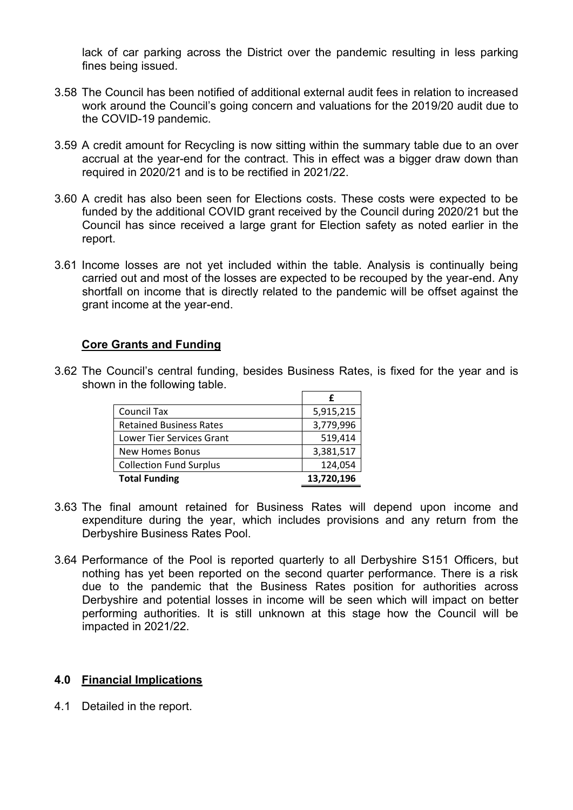lack of car parking across the District over the pandemic resulting in less parking fines being issued.

- 3.58 The Council has been notified of additional external audit fees in relation to increased work around the Council's going concern and valuations for the 2019/20 audit due to the COVID-19 pandemic.
- 3.59 A credit amount for Recycling is now sitting within the summary table due to an over accrual at the year-end for the contract. This in effect was a bigger draw down than required in 2020/21 and is to be rectified in 2021/22.
- 3.60 A credit has also been seen for Elections costs. These costs were expected to be funded by the additional COVID grant received by the Council during 2020/21 but the Council has since received a large grant for Election safety as noted earlier in the report.
- 3.61 Income losses are not yet included within the table. Analysis is continually being carried out and most of the losses are expected to be recouped by the year-end. Any shortfall on income that is directly related to the pandemic will be offset against the grant income at the year-end.

### **Core Grants and Funding**

3.62 The Council's central funding, besides Business Rates, is fixed for the year and is shown in the following table. **£** 

| 5,915,215  |
|------------|
| 3,779,996  |
| 519,414    |
| 3,381,517  |
| 124,054    |
| 13,720,196 |
|            |

- 3.63 The final amount retained for Business Rates will depend upon income and expenditure during the year, which includes provisions and any return from the Derbyshire Business Rates Pool.
- 3.64 Performance of the Pool is reported quarterly to all Derbyshire S151 Officers, but nothing has yet been reported on the second quarter performance. There is a risk due to the pandemic that the Business Rates position for authorities across Derbyshire and potential losses in income will be seen which will impact on better performing authorities. It is still unknown at this stage how the Council will be impacted in 2021/22.

### **4.0 Financial Implications**

4.1 Detailed in the report.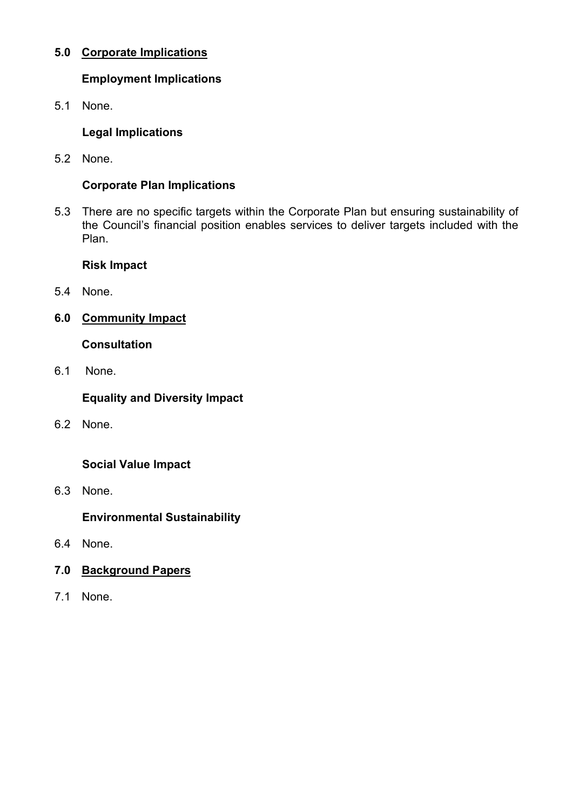# **5.0 Corporate Implications**

# **Employment Implications**

5.1 None.

# **Legal Implications**

5.2 None.

# **Corporate Plan Implications**

5.3 There are no specific targets within the Corporate Plan but ensuring sustainability of the Council's financial position enables services to deliver targets included with the Plan.

## **Risk Impact**

- 5.4 None.
- **6.0 Community Impact**

## **Consultation**

6.1 None.

# **Equality and Diversity Impact**

6.2 None.

# **Social Value Impact**

6.3 None.

# **Environmental Sustainability**

- 6.4 None.
- **7.0 Background Papers**
- 7.1 None.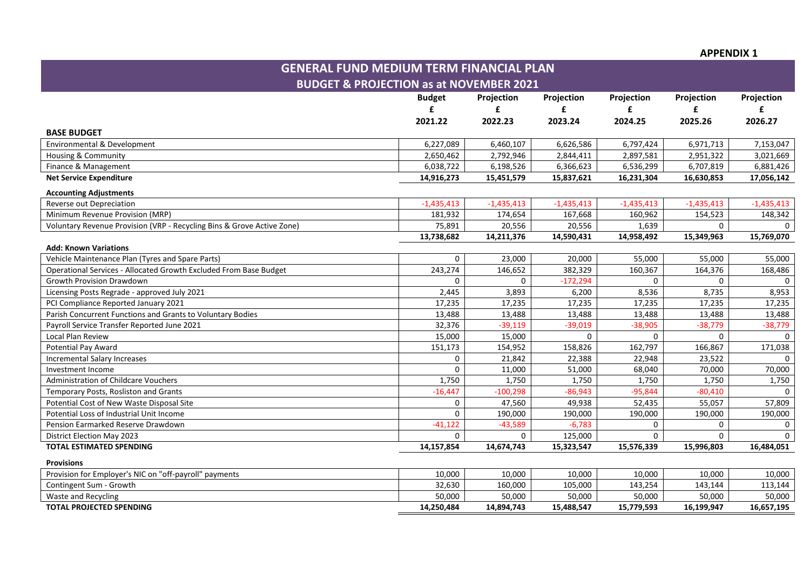#### **APPENDIX 1**

| <b>GENERAL FUND MEDIUM TERM FINANCIAL PLAN</b>                                      |              |              |              |              |              |              |  |  |  |  |
|-------------------------------------------------------------------------------------|--------------|--------------|--------------|--------------|--------------|--------------|--|--|--|--|
| <b>BUDGET &amp; PROJECTION as at NOVEMBER 2021</b>                                  |              |              |              |              |              |              |  |  |  |  |
| <b>Budget</b><br>Projection<br>Projection<br>Projection<br>Projection<br>Projection |              |              |              |              |              |              |  |  |  |  |
|                                                                                     | £            | £            | £            | £            | £            | £            |  |  |  |  |
|                                                                                     | 2021.22      | 2022.23      | 2023.24      | 2024.25      | 2025.26      | 2026.27      |  |  |  |  |
| <b>BASE BUDGET</b>                                                                  |              |              |              |              |              |              |  |  |  |  |
| Environmental & Development                                                         | 6,227,089    | 6,460,107    | 6,626,586    | 6,797,424    | 6,971,713    | 7,153,047    |  |  |  |  |
| Housing & Community                                                                 | 2,650,462    | 2,792,946    | 2,844,411    | 2,897,581    | 2,951,322    | 3,021,669    |  |  |  |  |
| Finance & Management                                                                | 6,038,722    | 6,198,526    | 6,366,623    | 6,536,299    | 6,707,819    | 6,881,426    |  |  |  |  |
| <b>Net Service Expenditure</b>                                                      | 14,916,273   | 15,451,579   | 15,837,621   | 16,231,304   | 16,630,853   | 17,056,142   |  |  |  |  |
| <b>Accounting Adjustments</b>                                                       |              |              |              |              |              |              |  |  |  |  |
| Reverse out Depreciation                                                            | $-1,435,413$ | $-1,435,413$ | $-1,435,413$ | $-1,435,413$ | $-1,435,413$ | $-1,435,413$ |  |  |  |  |
| Minimum Revenue Provision (MRP)                                                     | 181,932      | 174,654      | 167,668      | 160,962      | 154,523      | 148,342      |  |  |  |  |
| Voluntary Revenue Provision (VRP - Recycling Bins & Grove Active Zone)              | 75,891       | 20,556       | 20,556       | 1,639        | $\Omega$     |              |  |  |  |  |
|                                                                                     | 13,738,682   | 14,211,376   | 14,590,431   | 14,958,492   | 15,349,963   | 15,769,070   |  |  |  |  |
| <b>Add: Known Variations</b>                                                        |              |              |              |              |              |              |  |  |  |  |
| Vehicle Maintenance Plan (Tyres and Spare Parts)                                    | $\mathbf 0$  | 23,000       | 20,000       | 55,000       | 55,000       | 55,000       |  |  |  |  |
| Operational Services - Allocated Growth Excluded From Base Budget                   | 243,274      | 146,652      | 382,329      | 160,367      | 164,376      | 168,486      |  |  |  |  |
| <b>Growth Provision Drawdown</b>                                                    | $\Omega$     | 0            | $-172,294$   | 0            | 0            | $\Omega$     |  |  |  |  |
| Licensing Posts Regrade - approved July 2021                                        | 2,445        | 3,893        | 6,200        | 8,536        | 8,735        | 8,953        |  |  |  |  |
| PCI Compliance Reported January 2021                                                | 17,235       | 17,235       | 17,235       | 17,235       | 17,235       | 17,235       |  |  |  |  |
| Parish Concurrent Functions and Grants to Voluntary Bodies                          | 13,488       | 13,488       | 13,488       | 13,488       | 13,488       | 13,488       |  |  |  |  |
| Payroll Service Transfer Reported June 2021                                         | 32,376       | $-39,119$    | $-39,019$    | $-38,905$    | $-38,779$    | $-38,779$    |  |  |  |  |
| Local Plan Review                                                                   | 15,000       | 15,000       | $\mathbf{0}$ | $\Omega$     | $\Omega$     | $\Omega$     |  |  |  |  |
| <b>Potential Pay Award</b>                                                          | 151,173      | 154,952      | 158,826      | 162,797      | 166,867      | 171,038      |  |  |  |  |
| <b>Incremental Salary Increases</b>                                                 | 0            | 21,842       | 22,388       | 22,948       | 23,522       |              |  |  |  |  |
| Investment Income                                                                   | $\mathbf 0$  | 11,000       | 51,000       | 68,040       | 70,000       | 70,000       |  |  |  |  |
| Administration of Childcare Vouchers                                                | 1,750        | 1,750        | 1,750        | 1,750        | 1,750        | 1,750        |  |  |  |  |
| Temporary Posts, Rosliston and Grants                                               | $-16,447$    | $-100,298$   | $-86,943$    | $-95,844$    | $-80,410$    |              |  |  |  |  |
| Potential Cost of New Waste Disposal Site                                           | $\Omega$     | 47,560       | 49,938       | 52,435       | 55,057       | 57,809       |  |  |  |  |
| Potential Loss of Industrial Unit Income                                            | $\Omega$     | 190,000      | 190,000      | 190,000      | 190,000      | 190,000      |  |  |  |  |
| Pension Earmarked Reserve Drawdown                                                  | $-41,122$    | $-43,589$    | $-6,783$     | 0            | 0            |              |  |  |  |  |
| <b>District Election May 2023</b>                                                   | 0            | $\mathbf{0}$ | 125,000      | 0            | 0            | $\Omega$     |  |  |  |  |
| <b>TOTAL ESTIMATED SPENDING</b>                                                     | 14,157,854   | 14,674,743   | 15,323,547   | 15,576,339   | 15,996,803   | 16,484,051   |  |  |  |  |
| <b>Provisions</b>                                                                   |              |              |              |              |              |              |  |  |  |  |
| Provision for Employer's NIC on "off-payroll" payments                              | 10,000       | 10,000       | 10,000       | 10,000       | 10,000       | 10,000       |  |  |  |  |
| Contingent Sum - Growth                                                             | 32,630       | 160,000      | 105,000      | 143,254      | 143,144      | 113,144      |  |  |  |  |
| Waste and Recycling                                                                 | 50,000       | 50,000       | 50,000       | 50,000       | 50,000       | 50,000       |  |  |  |  |
| <b>TOTAL PROJECTED SPENDING</b>                                                     | 14,250,484   | 14,894,743   | 15,488,547   | 15,779,593   | 16,199,947   | 16,657,195   |  |  |  |  |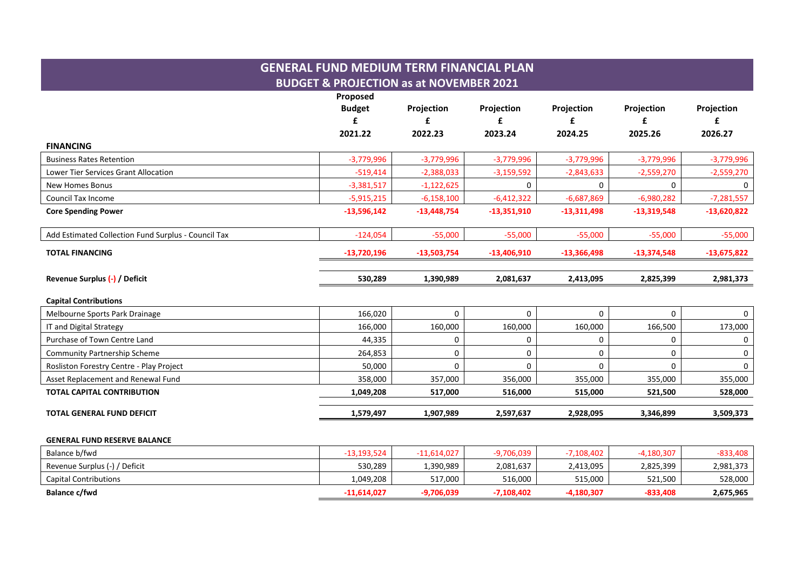# **GENERAL FUND MEDIUM TERM FINANCIAL PLAN BUDGET & PROJECTION as at NOVEMBER 2021 Proposed Budget Projection Projection Projection Projection Projection £ £ £ £ £ £ 2021.22 2022.23 2023.24 2024.25 2025.26 2026.27 FINANCING**  Business Rates Retention -3,779,996 -3,779,996 -3,779,996 -3,779,996 -3,779,996 -3,779,996 Lower Tier Services Grant Allocation -519,414 -519,414 -519,414 -2,388,033 -3,159,592 -2,843,633 -2,559,270 -2,559,270 -2,559,270 -2,559,270 -2,559,270 -2,559,270 -2,559,270 -2,559,270 -3,159,270 -3,559,270 -2,559,270 -2,5 New Homes Bonus -3,381,517 | -1,122,625 | 0 | 0 | 0 Council Tax Income -5,915,215 -6,158,100 -6,412,322 -6,687,869 -6,980,282 -7,281,557 **Core Spending Power -13,596,142 -13,448,754 -13,351,910 -13,311,498 -13,319,548 -13,620,822** Add Estimated Collection Fund Surplus - Council Tax -124,054 -55,000 -55,000 -55,000 -55,000 -55,000 **TOTAL FINANCING -13,720,196 -13,503,754 -13,406,910 -13,366,498 -13,374,548 -13,675,822 Revenue Surplus (-) / Deficit 530,289 1,390,989 2,081,637 2,413,095 2,825,399 2,981,373 Capital Contributions**  Melbourne Sports Park Drainage 166,020 0 0 0 0 0 IT and Digital Strategy 166,000 | 160,000 | 160,000 | 166,500 | 173,000 Purchase of Town Centre Land 44.335 | 0 | 0 | 0 Community Partnership Scheme 264,853 0 0 0 0 0 Rosliston Forestry Centre - Play Project 50,000 0 0 0 0 0 Asset Replacement and Renewal Fund 355,000 355,000 357,000 356,000 355,000 355,000 355,000 355,000 355,000 355,000 **TOTAL CAPITAL CONTRIBUTION 1,049,208 517,000 516,000 515,000 521,500 528,000 TOTAL GENERAL FUND DEFICIT 1,579,497 1,907,989 2,597,637 2,928,095 3,346,899 3,509,373 GENERAL FUND RESERVE BALANCE**

| Balance b/fwd                 | -13.193.524 | $-11,614,027$ | 9,706,039    | 7,108,402 | -4.180.307 | $-833,408$ |
|-------------------------------|-------------|---------------|--------------|-----------|------------|------------|
| Revenue Surplus (-) / Deficit | 530.289     | 1,390,989     | 2,081,637    | 2,413,095 | 2,825,399  | 2,981,373  |
| <b>Capital Contributions</b>  | 1,049,208   | 517,000       | 516.000      | 515,000   | 521,500    | 528,000    |
| Balance c/fwd                 | -11.614.027 | -9,706,039    | $-7,108,402$ | 4,180,307 | -833,408   | 2,675,965  |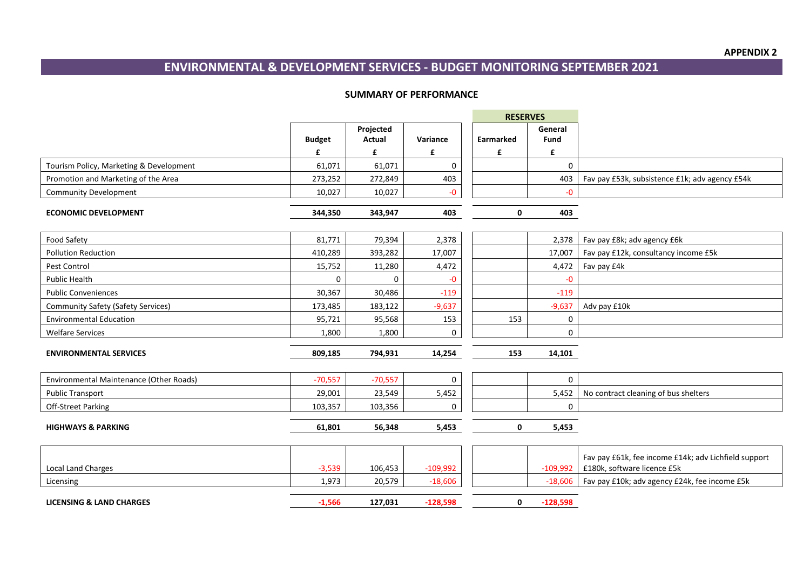# **ENVIRONMENTAL & DEVELOPMENT SERVICES - BUDGET MONITORING SEPTEMBER 2021**

#### **SUMMARY OF PERFORMANCE**

|                                           |               |               |            | <b>RESERVES</b> |              |                                                                                     |
|-------------------------------------------|---------------|---------------|------------|-----------------|--------------|-------------------------------------------------------------------------------------|
|                                           |               | Projected     |            |                 | General      |                                                                                     |
|                                           | <b>Budget</b> | <b>Actual</b> | Variance   | Earmarked       | <b>Fund</b>  |                                                                                     |
|                                           | £             | £             | £          | £               | £            |                                                                                     |
| Tourism Policy, Marketing & Development   | 61,071        | 61,071        | 0          |                 | $\mathbf{0}$ |                                                                                     |
| Promotion and Marketing of the Area       | 273,252       | 272,849       | 403        |                 | 403          | Fav pay £53k, subsistence £1k; adv agency £54k                                      |
| <b>Community Development</b>              | 10,027        | 10,027        | -0         |                 | $-0$         |                                                                                     |
|                                           |               |               |            |                 |              |                                                                                     |
| <b>ECONOMIC DEVELOPMENT</b>               | 344,350       | 343,947       | 403        | 0               | 403          |                                                                                     |
| <b>Food Safety</b>                        | 81,771        | 79,394        | 2,378      |                 | 2,378        | Fav pay £8k; adv agency £6k                                                         |
| <b>Pollution Reduction</b>                | 410,289       | 393,282       | 17,007     |                 | 17,007       | Fav pay £12k, consultancy income £5k                                                |
| Pest Control                              | 15,752        | 11,280        | 4,472      |                 | 4,472        | Fav pay £4k                                                                         |
| <b>Public Health</b>                      | $\Omega$      |               | -0         |                 | $-0$         |                                                                                     |
| <b>Public Conveniences</b>                | 30,367        | 30,486        | $-119$     |                 | $-119$       |                                                                                     |
| <b>Community Safety (Safety Services)</b> | 173,485       | 183,122       | $-9,637$   |                 | $-9,637$     | Adv pay £10k                                                                        |
| <b>Environmental Education</b>            | 95,721        | 95,568        | 153        | 153             | 0            |                                                                                     |
| <b>Welfare Services</b>                   | 1,800         | 1,800         | 0          |                 | 0            |                                                                                     |
| <b>ENVIRONMENTAL SERVICES</b>             | 809,185       | 794,931       | 14,254     | 153             | 14,101       |                                                                                     |
|                                           |               |               |            |                 |              |                                                                                     |
| Environmental Maintenance (Other Roads)   | $-70,557$     | $-70,557$     | 0          |                 | $\mathbf{0}$ |                                                                                     |
| <b>Public Transport</b>                   | 29,001        | 23,549        | 5,452      |                 | 5,452        | No contract cleaning of bus shelters                                                |
| Off-Street Parking                        | 103,357       | 103,356       | 0          |                 | 0            |                                                                                     |
|                                           |               |               |            |                 |              |                                                                                     |
| <b>HIGHWAYS &amp; PARKING</b>             | 61,801        | 56,348        | 5,453      | 0               | 5,453        |                                                                                     |
|                                           |               |               |            |                 |              |                                                                                     |
| <b>Local Land Charges</b>                 | $-3,539$      | 106,453       | $-109,992$ |                 | $-109,992$   | Fav pay £61k, fee income £14k; adv Lichfield support<br>£180k, software licence £5k |
| Licensing                                 | 1,973         | 20,579        | $-18,606$  |                 | $-18,606$    | Fav pay £10k; adv agency £24k, fee income £5k                                       |
| <b>LICENSING &amp; LAND CHARGES</b>       | $-1,566$      | 127,031       | $-128,598$ | 0               | $-128,598$   |                                                                                     |
|                                           |               |               |            |                 |              |                                                                                     |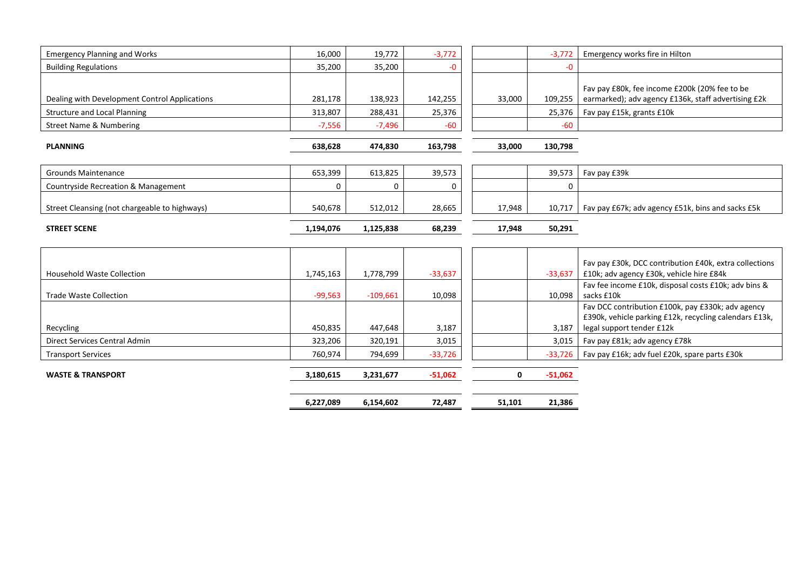| <b>Emergency Planning and Works</b>           | 16,000    | 19,772     | $-3,772$  |        | $-3,772$  | Emergency works fire in Hilton                                                                                                           |
|-----------------------------------------------|-----------|------------|-----------|--------|-----------|------------------------------------------------------------------------------------------------------------------------------------------|
| <b>Building Regulations</b>                   | 35,200    | 35,200     | -0        |        | -0        |                                                                                                                                          |
| Dealing with Development Control Applications | 281,178   | 138,923    | 142,255   | 33,000 | 109,255   | Fav pay £80k, fee income £200k (20% fee to be<br>earmarked); adv agency £136k, staff advertising £2k                                     |
| <b>Structure and Local Planning</b>           | 313,807   | 288,431    | 25,376    |        | 25,376    | Fav pay £15k, grants £10k                                                                                                                |
| <b>Street Name &amp; Numbering</b>            | $-7,556$  | $-7,496$   | $-60$     |        | $-60$     |                                                                                                                                          |
| <b>PLANNING</b>                               | 638,628   | 474,830    | 163,798   | 33,000 | 130,798   |                                                                                                                                          |
| <b>Grounds Maintenance</b>                    | 653,399   | 613,825    | 39,573    |        | 39,573    | Fav pay £39k                                                                                                                             |
| Countryside Recreation & Management           | $\Omega$  | $\Omega$   | 0         |        | 0         |                                                                                                                                          |
| Street Cleansing (not chargeable to highways) | 540,678   | 512,012    | 28,665    | 17,948 | 10,717    | Fav pay £67k; adv agency £51k, bins and sacks £5k                                                                                        |
| <b>STREET SCENE</b>                           | 1,194,076 | 1,125,838  | 68,239    | 17,948 | 50,291    |                                                                                                                                          |
|                                               |           |            |           |        |           |                                                                                                                                          |
| <b>Household Waste Collection</b>             | 1,745,163 | 1,778,799  | $-33,637$ |        | $-33,637$ | Fav pay £30k, DCC contribution £40k, extra collections<br>£10k; adv agency £30k, vehicle hire £84k                                       |
| <b>Trade Waste Collection</b>                 | $-99,563$ | $-109,661$ | 10,098    |        | 10,098    | Fav fee income £10k, disposal costs £10k; adv bins &<br>sacks £10k                                                                       |
| Recycling                                     | 450,835   | 447,648    | 3,187     |        | 3,187     | Fav DCC contribution £100k, pay £330k; adv agency<br>£390k, vehicle parking £12k, recycling calendars £13k,<br>legal support tender £12k |
| <b>Direct Services Central Admin</b>          | 323,206   | 320,191    | 3,015     |        | 3,015     | Fav pay £81k; adv agency £78k                                                                                                            |
| <b>Transport Services</b>                     | 760,974   | 794,699    | $-33,726$ |        | $-33,726$ | Fav pay £16k; adv fuel £20k, spare parts £30k                                                                                            |
| <b>WASTE &amp; TRANSPORT</b>                  | 3,180,615 | 3,231,677  | $-51,062$ | 0      | $-51,062$ |                                                                                                                                          |
|                                               | 6,227,089 | 6,154,602  | 72,487    | 51,101 | 21,386    |                                                                                                                                          |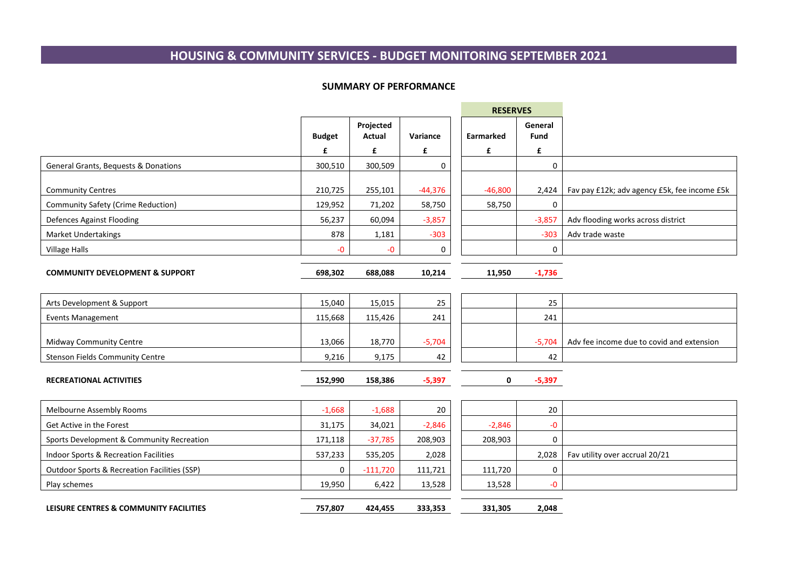# **HOUSING & COMMUNITY SERVICES - BUDGET MONITORING SEPTEMBER 2021**

#### **SUMMARY OF PERFORMANCE**

<u> The Common Section of the Common Section of the Common Section of the Common Section of the Common Section of</u>

|                                                         |               |                     |           | <b>RESERVES</b> |                 |                                              |
|---------------------------------------------------------|---------------|---------------------|-----------|-----------------|-----------------|----------------------------------------------|
|                                                         | <b>Budget</b> | Projected<br>Actual | Variance  | Earmarked       | General<br>Fund |                                              |
|                                                         | £             | £                   | £         | £               | £               |                                              |
| General Grants, Bequests & Donations                    | 300,510       | 300,509             | 0         |                 | 0               |                                              |
| <b>Community Centres</b>                                | 210,725       | 255,101             | $-44,376$ | $-46,800$       | 2,424           | Fav pay £12k; adv agency £5k, fee income £5k |
| <b>Community Safety (Crime Reduction)</b>               | 129,952       | 71,202              | 58,750    | 58,750          | $\mathbf 0$     |                                              |
| <b>Defences Against Flooding</b>                        | 56,237        | 60,094              | $-3,857$  |                 | $-3,857$        | Adv flooding works across district           |
| <b>Market Undertakings</b>                              | 878           | 1,181               | $-303$    |                 | $-303$          | Adv trade waste                              |
| <b>Village Halls</b>                                    | $-0$          | -0                  | 0         |                 | 0               |                                              |
| <b>COMMUNITY DEVELOPMENT &amp; SUPPORT</b>              | 698,302       | 688,088             | 10,214    | 11,950          | $-1,736$        |                                              |
| Arts Development & Support                              | 15,040        | 15,015              | 25        |                 | 25              |                                              |
| <b>Events Management</b>                                | 115,668       | 115,426             | 241       |                 | 241             |                                              |
| Midway Community Centre                                 | 13,066        | 18,770              | $-5,704$  |                 | $-5,704$        | Adv fee income due to covid and extension    |
| <b>Stenson Fields Community Centre</b>                  | 9,216         | 9,175               | 42        |                 | 42              |                                              |
| <b>RECREATIONAL ACTIVITIES</b>                          | 152,990       | 158,386             | $-5,397$  | 0               | $-5,397$        |                                              |
| Melbourne Assembly Rooms                                | $-1,668$      | $-1,688$            | 20        |                 | 20              |                                              |
| Get Active in the Forest                                | 31,175        | 34,021              | $-2,846$  | $-2,846$        | -0              |                                              |
| Sports Development & Community Recreation               | 171,118       | $-37,785$           | 208,903   | 208,903         | $\mathbf 0$     |                                              |
| Indoor Sports & Recreation Facilities                   | 537,233       | 535,205             | 2,028     |                 | 2,028           | Fav utility over accrual 20/21               |
| <b>Outdoor Sports &amp; Recreation Facilities (SSP)</b> | $\mathbf 0$   | $-111,720$          | 111,721   | 111,720         | 0               |                                              |
| Play schemes                                            | 19,950        | 6,422               | 13,528    | 13,528          | -0              |                                              |
| LEISURE CENTRES & COMMUNITY FACILITIES                  | 757,807       | 424,455             | 333,353   | 331,305         | 2,048           |                                              |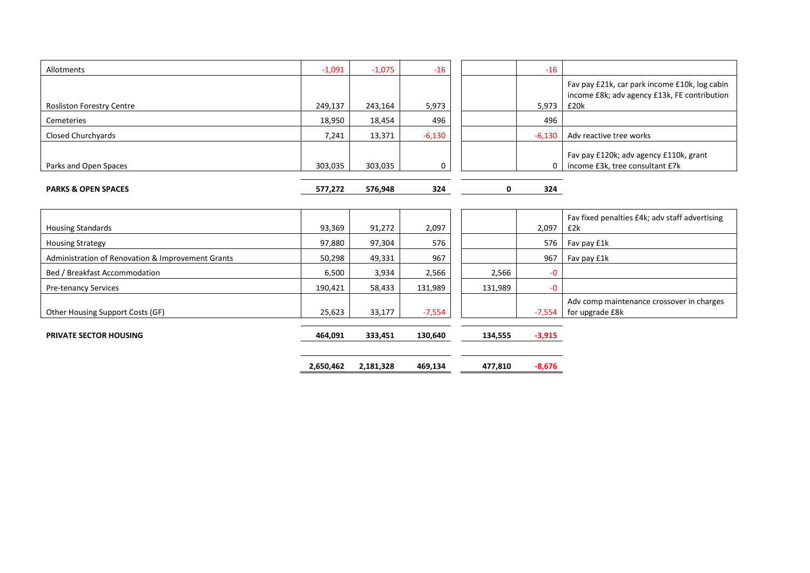| Allotments                                        | $-1,091$  | $-1,075$  | $-16$    |         | $-16$              |                                                                           |
|---------------------------------------------------|-----------|-----------|----------|---------|--------------------|---------------------------------------------------------------------------|
|                                                   |           |           |          |         |                    | Fav pay £21k, car park income £10k, log cabin                             |
| <b>Rosliston Forestry Centre</b>                  | 249,137   | 243,164   | 5,973    |         | 5,973              | income £8k; adv agency £13k, FE contribution<br>£20k                      |
| Cemeteries                                        | 18,950    | 18,454    | 496      |         | 496                |                                                                           |
| Closed Churchyards                                | 7,241     | 13,371    | $-6,130$ |         | $-6,130$           | Adv reactive tree works                                                   |
| Parks and Open Spaces                             | 303,035   | 303,035   | 0        |         | $\Omega$           | Fav pay £120k; adv agency £110k, grant<br>income £3k, tree consultant £7k |
| <b>PARKS &amp; OPEN SPACES</b>                    | 577,272   | 576,948   | 324      |         | $\mathbf 0$<br>324 |                                                                           |
|                                                   |           |           |          |         |                    |                                                                           |
| <b>Housing Standards</b>                          | 93,369    | 91,272    | 2,097    |         | 2,097              | Fav fixed penalties £4k; adv staff advertising<br>£2k                     |
| <b>Housing Strategy</b>                           | 97,880    | 97,304    | 576      |         | 576                | Fav pay £1k                                                               |
| Administration of Renovation & Improvement Grants | 50,298    | 49,331    | 967      |         | 967                | Fav pay £1k                                                               |
| Bed / Breakfast Accommodation                     | 6,500     | 3,934     | 2,566    | 2,566   | $-0$               |                                                                           |
| <b>Pre-tenancy Services</b>                       | 190,421   | 58,433    | 131,989  | 131,989 | $-0$               |                                                                           |
| Other Housing Support Costs (GF)                  | 25,623    | 33,177    | $-7,554$ |         | $-7,554$           | Adv comp maintenance crossover in charges<br>for upgrade £8k              |
| <b>PRIVATE SECTOR HOUSING</b>                     | 464,091   | 333,451   | 130,640  | 134,555 | $-3,915$           |                                                                           |
|                                                   | 2,650,462 | 2,181,328 | 469,134  | 477,810 | $-8,676$           |                                                                           |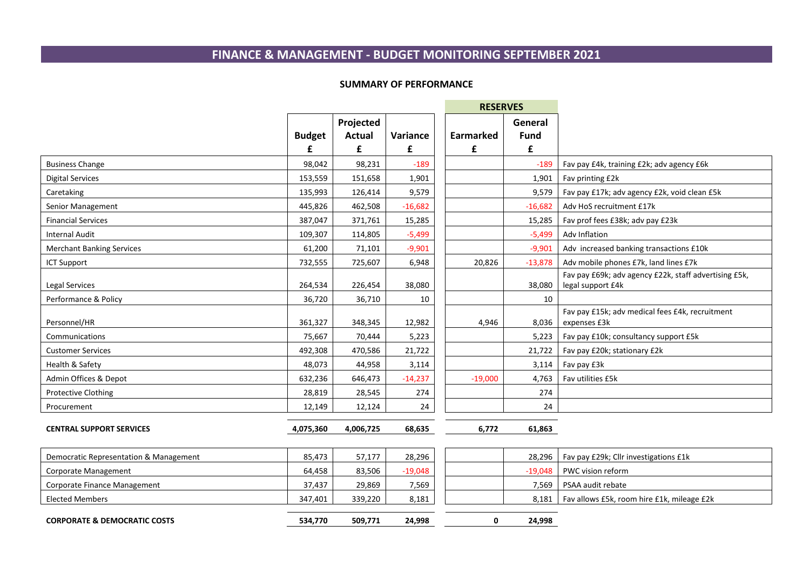# **FINANCE & MANAGEMENT - BUDGET MONITORING SEPTEMBER 2021**

#### **SUMMARY OF PERFORMANCE**

المستدر

|                                        |               |                            |           | <b>RESERVES</b> |                        |                                                                            |
|----------------------------------------|---------------|----------------------------|-----------|-----------------|------------------------|----------------------------------------------------------------------------|
|                                        | <b>Budget</b> | Projected<br><b>Actual</b> | Variance  | Earmarked       | General<br><b>Fund</b> |                                                                            |
|                                        | £             | £                          | £         | £               | £                      |                                                                            |
| <b>Business Change</b>                 | 98,042        | 98,231                     | $-189$    |                 | $-189$                 | Fav pay £4k, training £2k; adv agency £6k                                  |
| <b>Digital Services</b>                | 153,559       | 151,658                    | 1,901     |                 | 1,901                  | Fav printing £2k                                                           |
| Caretaking                             | 135,993       | 126,414                    | 9,579     |                 | 9,579                  | Fav pay £17k; adv agency £2k, void clean £5k                               |
| Senior Management                      | 445,826       | 462,508                    | $-16,682$ |                 | $-16,682$              | Adv HoS recruitment £17k                                                   |
| <b>Financial Services</b>              | 387,047       | 371,761                    | 15,285    |                 | 15,285                 | Fav prof fees £38k; adv pay £23k                                           |
| <b>Internal Audit</b>                  | 109,307       | 114,805                    | $-5,499$  |                 | $-5,499$               | Adv Inflation                                                              |
| <b>Merchant Banking Services</b>       | 61,200        | 71,101                     | $-9,901$  |                 | $-9,901$               | Adv increased banking transactions £10k                                    |
| <b>ICT Support</b>                     | 732,555       | 725,607                    | 6,948     | 20,826          | $-13,878$              | Adv mobile phones £7k, land lines £7k                                      |
| Legal Services                         | 264,534       | 226,454                    | 38,080    |                 | 38,080                 | Fav pay £69k; adv agency £22k, staff advertising £5k,<br>legal support £4k |
| Performance & Policy                   | 36,720        | 36,710                     | 10        |                 | 10                     |                                                                            |
| Personnel/HR                           | 361,327       | 348,345                    | 12,982    | 4,946           | 8,036                  | Fav pay £15k; adv medical fees £4k, recruitment<br>expenses £3k            |
| Communications                         | 75,667        | 70,444                     | 5,223     |                 | 5,223                  | Fav pay £10k; consultancy support £5k                                      |
| <b>Customer Services</b>               | 492,308       | 470,586                    | 21,722    |                 | 21,722                 | Fav pay £20k; stationary £2k                                               |
| Health & Safety                        | 48,073        | 44,958                     | 3,114     |                 | 3,114                  | Fav pay £3k                                                                |
| Admin Offices & Depot                  | 632,236       | 646,473                    | $-14,237$ | $-19,000$       | 4,763                  | Fav utilities £5k                                                          |
| Protective Clothing                    | 28,819        | 28,545                     | 274       |                 | 274                    |                                                                            |
| Procurement                            | 12,149        | 12,124                     | 24        |                 | 24                     |                                                                            |
| <b>CENTRAL SUPPORT SERVICES</b>        | 4,075,360     | 4,006,725                  | 68,635    | 6,772           | 61,863                 |                                                                            |
| Democratic Representation & Management | 85,473        | 57,177                     | 28,296    |                 | 28,296                 | Fav pay £29k; Cllr investigations £1k                                      |
| Corporate Management                   | 64,458        | 83,506                     | $-19,048$ |                 | $-19,048$              | PWC vision reform                                                          |
| Corporate Finance Management           | 37,437        | 29,869                     | 7,569     |                 | 7,569                  | PSAA audit rebate                                                          |
| <b>Elected Members</b>                 | 347,401       | 339,220                    | 8,181     |                 |                        | 8,181   Fav allows £5k, room hire £1k, mileage £2k                         |

**CORPORATE & DEMOCRATIC COSTS 534,770 509,771 24,998 0 24,998**